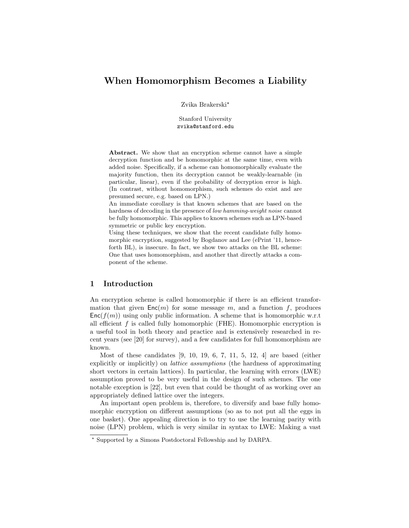# When Homomorphism Becomes a Liability

Zvika Brakerski?

Stanford University zvika@stanford.edu

Abstract. We show that an encryption scheme cannot have a simple decryption function and be homomorphic at the same time, even with added noise. Specifically, if a scheme can homomorphically evaluate the majority function, then its decryption cannot be weakly-learnable (in particular, linear), even if the probability of decryption error is high. (In contrast, without homomorphism, such schemes do exist and are presumed secure, e.g. based on LPN.)

An immediate corollary is that known schemes that are based on the hardness of decoding in the presence of low hamming-weight noise cannot be fully homomorphic. This applies to known schemes such as LPN-based symmetric or public key encryption.

Using these techniques, we show that the recent candidate fully homomorphic encryption, suggested by Bogdanov and Lee (ePrint '11, henceforth BL), is insecure. In fact, we show two attacks on the BL scheme: One that uses homomorphism, and another that directly attacks a component of the scheme.

# 1 Introduction

An encryption scheme is called homomorphic if there is an efficient transformation that given  $Enc(m)$  for some message m, and a function f, produces  $Enc(f(m))$  using only public information. A scheme that is homomorphic w.r.t all efficient f is called fully homomorphic (FHE). Homomorphic encryption is a useful tool in both theory and practice and is extensively researched in recent years (see [20] for survey), and a few candidates for full homomorphism are known.

Most of these candidates [9, 10, 19, 6, 7, 11, 5, 12, 4] are based (either explicitly or implicitly) on lattice assumptions (the hardness of approximating short vectors in certain lattices). In particular, the learning with errors (LWE) assumption proved to be very useful in the design of such schemes. The one notable exception is [22], but even that could be thought of as working over an appropriately defined lattice over the integers.

An important open problem is, therefore, to diversify and base fully homomorphic encryption on different assumptions (so as to not put all the eggs in one basket). One appealing direction is to try to use the learning parity with noise (LPN) problem, which is very similar in syntax to LWE: Making a vast

<sup>?</sup> Supported by a Simons Postdoctoral Fellowship and by DARPA.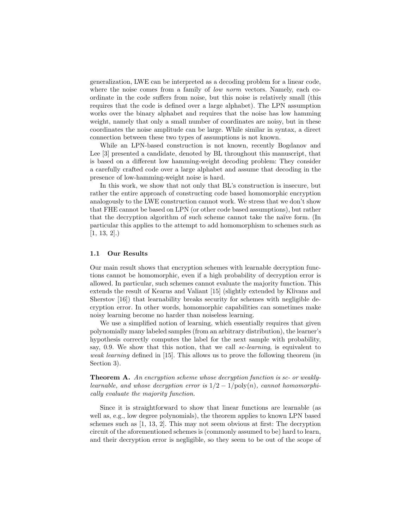generalization, LWE can be interpreted as a decoding problem for a linear code, where the noise comes from a family of *low norm* vectors. Namely, each coordinate in the code suffers from noise, but this noise is relatively small (this requires that the code is defined over a large alphabet). The LPN assumption works over the binary alphabet and requires that the noise has low hamming weight, namely that only a small number of coordinates are noisy, but in these coordinates the noise amplitude can be large. While similar in syntax, a direct connection between these two types of assumptions is not known.

While an LPN-based construction is not known, recently Bogdanov and Lee [3] presented a candidate, denoted by BL throughout this manuscript, that is based on a different low hamming-weight decoding problem: They consider a carefully crafted code over a large alphabet and assume that decoding in the presence of low-hamming-weight noise is hard.

In this work, we show that not only that BL's construction is insecure, but rather the entire approach of constructing code based homomorphic encryption analogously to the LWE construction cannot work. We stress that we don't show that FHE cannot be based on LPN (or other code based assumptions), but rather that the decryption algorithm of such scheme cannot take the naïve form. (In particular this applies to the attempt to add homomorphism to schemes such as  $[1, 13, 2].$ 

### 1.1 Our Results

Our main result shows that encryption schemes with learnable decryption functions cannot be homomorphic, even if a high probability of decryption error is allowed. In particular, such schemes cannot evaluate the majority function. This extends the result of Kearns and Valiant [15] (slightly extended by Klivans and Sherstov [16]) that learnability breaks security for schemes with negligible decryption error. In other words, homomorphic capabilities can sometimes make noisy learning become no harder than noiseless learning.

We use a simplified notion of learning, which essentially requires that given polynomially many labeled samples (from an arbitrary distribution), the learner's hypothesis correctly computes the label for the next sample with probability, say, 0.9. We show that this notion, that we call sc-learning, is equivalent to weak learning defined in [15]. This allows us to prove the following theorem (in Section 3).

Theorem A. An encryption scheme whose decryption function is sc- or weaklylearnable, and whose decryption error is  $1/2 - 1/\text{poly}(n)$ , cannot homomorphically evaluate the majority function.

Since it is straightforward to show that linear functions are learnable (as well as, e.g., low degree polynomials), the theorem applies to known LPN based schemes such as [1, 13, 2]. This may not seem obvious at first: The decryption circuit of the aforementioned schemes is (commonly assumed to be) hard to learn, and their decryption error is negligible, so they seem to be out of the scope of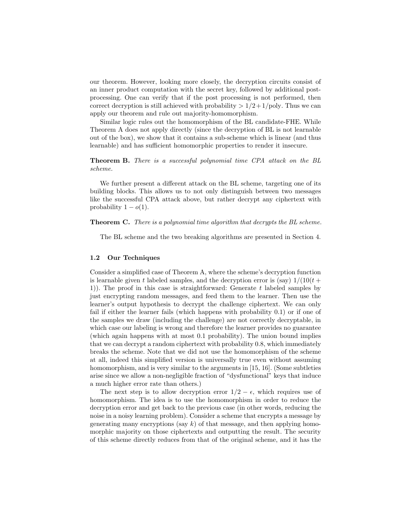our theorem. However, looking more closely, the decryption circuits consist of an inner product computation with the secret key, followed by additional postprocessing. One can verify that if the post processing is not performed, then correct decryption is still achieved with probability  $> 1/2+1/poly$ . Thus we can apply our theorem and rule out majority-homomorphism.

Similar logic rules out the homomorphism of the BL candidate-FHE. While Theorem A does not apply directly (since the decryption of BL is not learnable out of the box), we show that it contains a sub-scheme which is linear (and thus learnable) and has sufficient homomorphic properties to render it insecure.

Theorem B. There is a successful polynomial time CPA attack on the BL scheme.

We further present a different attack on the BL scheme, targeting one of its building blocks. This allows us to not only distinguish between two messages like the successful CPA attack above, but rather decrypt any ciphertext with probability  $1 - o(1)$ .

### **Theorem C.** There is a polynomial time algorithm that decrypts the BL scheme.

The BL scheme and the two breaking algorithms are presented in Section 4.

#### 1.2 Our Techniques

Consider a simplified case of Theorem A, where the scheme's decryption function is learnable given t labeled samples, and the decryption error is (say)  $1/(10(t +$ 1)). The proof in this case is straightforward: Generate t labeled samples by just encrypting random messages, and feed them to the learner. Then use the learner's output hypothesis to decrypt the challenge ciphertext. We can only fail if either the learner fails (which happens with probability 0.1) or if one of the samples we draw (including the challenge) are not correctly decryptable, in which case our labeling is wrong and therefore the learner provides no guarantee (which again happens with at most 0.1 probability). The union bound implies that we can decrypt a random ciphertext with probability 0.8, which immediately breaks the scheme. Note that we did not use the homomorphism of the scheme at all, indeed this simplified version is universally true even without assuming homomorphism, and is very similar to the arguments in [15, 16]. (Some subtleties arise since we allow a non-negligible fraction of "dysfunctional" keys that induce a much higher error rate than others.)

The next step is to allow decryption error  $1/2 - \epsilon$ , which requires use of homomorphism. The idea is to use the homomorphism in order to reduce the decryption error and get back to the previous case (in other words, reducing the noise in a noisy learning problem). Consider a scheme that encrypts a message by generating many encryptions (say  $k$ ) of that message, and then applying homomorphic majority on those ciphertexts and outputting the result. The security of this scheme directly reduces from that of the original scheme, and it has the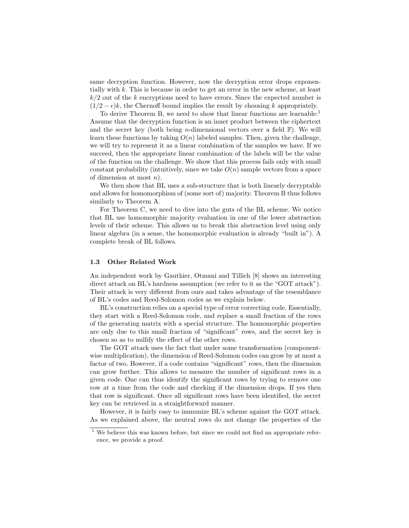same decryption function. However, now the decryption error drops exponentially with k. This is because in order to get an error in the new scheme, at least  $k/2$  out of the k encryptions need to have errors. Since the expected number is  $(1/2 - \epsilon)k$ , the Chernoff bound implies the result by choosing k appropriately.

To derive Theorem B, we need to show that linear functions are learnable:<sup>1</sup> Assume that the decryption function is an inner product between the ciphertext and the secret key (both being *n*-dimensional vectors over a field  $\mathbb{F}$ ). We will learn these functions by taking  $O(n)$  labeled samples. Then, given the challenge, we will try to represent it as a linear combination of the samples we have. If we succeed, then the appropriate linear combination of the labels will be the value of the function on the challenge. We show that this process fails only with small constant probability (intuitively, since we take  $O(n)$  sample vectors from a space of dimension at most  $n$ ).

We then show that BL uses a sub-structure that is both linearly decryptable and allows for homomorphism of (some sort of) majority. Theorem B thus follows similarly to Theorem A.

For Theorem C, we need to dive into the guts of the BL scheme. We notice that BL use homomorphic majority evaluation in one of the lower abstraction levels of their scheme. This allows us to break this abstraction level using only linear algebra (in a sense, the homomorphic evaluation is already "built in"). A complete break of BL follows.

#### 1.3 Other Related Work

An independent work by Gauthier, Otmani and Tillich [8] shows an interesting direct attack on BL's hardness assumption (we refer to it as the "GOT attack"). Their attack is very different from ours and takes advantage of the resemblance of BL's codes and Reed-Solomon codes as we explain below.

BL's construction relies on a special type of error correcting code. Essentially, they start with a Reed-Solomon code, and replace a small fraction of the rows of the generating matrix with a special structure. The homomorphic properties are only due to this small fraction of "significant" rows, and the secret key is chosen so as to nullify the effect of the other rows.

The GOT attack uses the fact that under some transformation (componentwise multiplication), the dimension of Reed-Solomon codes can grow by at most a factor of two. However, if a code contains "significant" rows, then the dimension can grow further. This allows to measure the number of significant rows in a given code. One can thus identify the significant rows by trying to remove one row at a time from the code and checking if the dimension drops. If yes then that row is significant. Once all significant rows have been identified, the secret key can be retrieved in a straightforward manner.

However, it is fairly easy to immunize BL's scheme against the GOT attack. As we explained above, the neutral rows do not change the properties of the

 $1$  We believe this was known before, but since we could not find an appropriate reference, we provide a proof.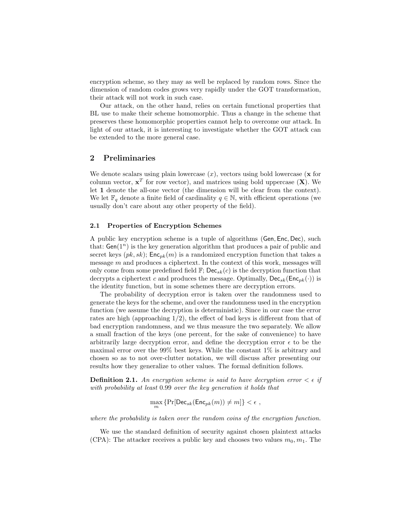encryption scheme, so they may as well be replaced by random rows. Since the dimension of random codes grows very rapidly under the GOT transformation, their attack will not work in such case.

Our attack, on the other hand, relies on certain functional properties that BL use to make their scheme homomorphic. Thus a change in the scheme that preserves these homomorphic properties cannot help to overcome our attack. In light of our attack, it is interesting to investigate whether the GOT attack can be extended to the more general case.

# 2 Preliminaries

We denote scalars using plain lowercase  $(x)$ , vectors using bold lowercase ( $\bf{x}$  for column vector,  $\mathbf{x}^T$  for row vector), and matrices using bold uppercase  $(\mathbf{X})$ . We let 1 denote the all-one vector (the dimension will be clear from the context). We let  $\mathbb{F}_q$  denote a finite field of cardinality  $q \in \mathbb{N}$ , with efficient operations (we usually don't care about any other property of the field).

## 2.1 Properties of Encryption Schemes

A public key encryption scheme is a tuple of algorithms (Gen, Enc, Dec), such that:  $Gen(1^n)$  is the key generation algorithm that produces a pair of public and secret keys  $(pk, sk)$ ;  $Enc_{pk}(m)$  is a randomized encryption function that takes a message  $m$  and produces a ciphertext. In the context of this work, messages will only come from some predefined field  $\mathbb{F}$ ; Dec<sub>sk</sub>(c) is the decryption function that decrypts a ciphertext c and produces the message. Optimally,  $\textsf{Dec}_{sk}(\textsf{Enc}_{pk}(\cdot))$  is the identity function, but in some schemes there are decryption errors.

The probability of decryption error is taken over the randomness used to generate the keys for the scheme, and over the randomness used in the encryption function (we assume the decryption is deterministic). Since in our case the error rates are high (approaching  $1/2$ ), the effect of bad keys is different from that of bad encryption randomness, and we thus measure the two separately. We allow a small fraction of the keys (one percent, for the sake of convenience) to have arbitrarily large decryption error, and define the decryption error  $\epsilon$  to be the maximal error over the 99% best keys. While the constant 1% is arbitrary and chosen so as to not over-clutter notation, we will discuss after presenting our results how they generalize to other values. The formal definition follows.

**Definition 2.1.** An encryption scheme is said to have decryption error  $\lt \epsilon$  if with probability at least 0.99 over the key generation it holds that

$$
\max_{m} \{ \Pr[\mathsf{Dec}_{sk}(\mathsf{Enc}_{pk}(m)) \neq m] \} < \epsilon \;,
$$

where the probability is taken over the random coins of the encryption function.

We use the standard definition of security against chosen plaintext attacks (CPA): The attacker receives a public key and chooses two values  $m_0, m_1$ . The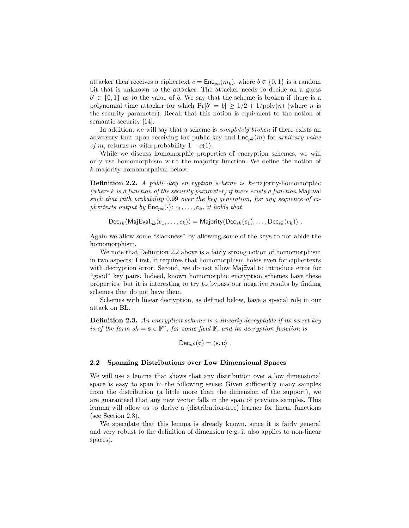attacker then receives a ciphertext  $c = \mathsf{Enc}_{pk}(m_b)$ , where  $b \in \{0, 1\}$  is a random bit that is unknown to the attacker. The attacker needs to decide on a guess  $b' \in \{0,1\}$  as to the value of b. We say that the scheme is broken if there is a polynomial time attacker for which  $Pr[b' = b] \ge 1/2 + 1/poly(n)$  (where *n* is the security parameter). Recall that this notion is equivalent to the notion of semantic security [14].

In addition, we will say that a scheme is *completely broken* if there exists an adversary that upon receiving the public key and  $\mathsf{Enc}_{nk}(m)$  for *arbitrary value* of m, returns m with probability  $1-o(1)$ .

While we discuss homomorphic properties of encryption schemes, we will only use homomorphism w.r.t the majority function. We define the notion of k-majority-homomorphism below.

Definition 2.2. A public-key encryption scheme is k-majority-homomorphic (where  $k$  is a function of the security parameter) if there exists a function  $M$ ajEval such that with probability 0.99 over the key generation, for any sequence of ciphertexts output by  $\mathsf{Enc}_{pk}(\cdot): c_1, \ldots, c_k$ , it holds that

 $\mathsf{Dec}_{sk}(\mathsf{MajEval}_{nk}(c_1, \ldots, c_k)) = \mathsf{Majority}(\mathsf{Dec}_{sk}(c_1), \ldots, \mathsf{Dec}_{sk}(c_k))$ .

Again we allow some "slackness" by allowing some of the keys to not abide the homomorphism.

We note that Definition 2.2 above is a fairly strong notion of homomorphism in two aspects: First, it requires that homomorphism holds even for ciphertexts with decryption error. Second, we do not allow MajEval to introduce error for "good" key pairs. Indeed, known homomorphic encryption schemes have these properties, but it is interesting to try to bypass our negative results by finding schemes that do not have them.

Schemes with linear decryption, as defined below, have a special role in our attack on BL.

**Definition 2.3.** An encryption scheme is n-linearly decryptable if its secret key is of the form  $sk = s \in \mathbb{F}^n$ , for some field  $\mathbb{F}$ , and its decryption function is

$$
\mathsf{Dec}_{sk}(\mathbf{c}) = \langle \mathbf{s}, \mathbf{c} \rangle \ .
$$

## 2.2 Spanning Distributions over Low Dimensional Spaces

We will use a lemma that shows that any distribution over a low dimensional space is easy to span in the following sense: Given sufficiently many samples from the distribution (a little more than the dimension of the support), we are guaranteed that any new vector falls in the span of previous samples. This lemma will allow us to derive a (distribution-free) learner for linear functions (see Section 2.3).

We speculate that this lemma is already known, since it is fairly general and very robust to the definition of dimension (e.g. it also applies to non-linear spaces).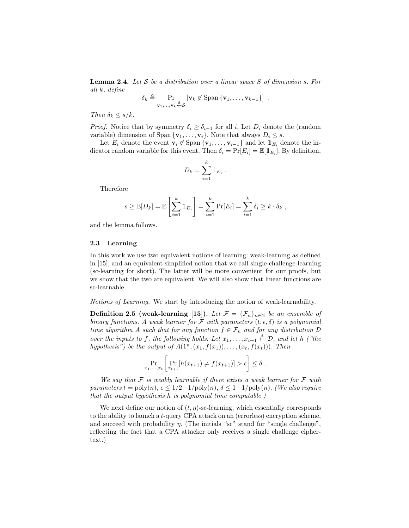**Lemma 2.4.** Let S be a distribution over a linear space S of dimension s. For all k, define

$$
\delta_k \triangleq \Pr_{\mathbf{v}_1,\ldots,\mathbf{v}_k \triangleq \mathcal{S}} \left[ \mathbf{v}_k \not\in \text{Span}\left\{ \mathbf{v}_1,\ldots,\mathbf{v}_{k-1} \right\} \right] .
$$

Then  $\delta_k \leq s/k$ .

*Proof.* Notice that by symmetry  $\delta_i \geq \delta_{i+1}$  for all i. Let  $D_i$  denote the (random variable) dimension of Span  $\{v_1, \ldots, v_i\}$ . Note that always  $D_i \leq s$ .

Let  $E_i$  denote the event  $\mathbf{v}_i \notin \text{Span}\{\mathbf{v}_1,\ldots,\mathbf{v}_{i-1}\}\$  and let  $\mathbb{1}_{E_i}$  denote the indicator random variable for this event. Then  $\delta_i = \Pr[E_i] = \mathbb{E}[\mathbb{1}_{E_i}]$ . By definition,

$$
D_k = \sum_{i=1}^k \mathbb{1}_{E_i}
$$

.

Therefore

$$
s \geq \mathbb{E}[D_k] = \mathbb{E}\left[\sum_{i=1}^k \mathbb{1}_{E_i}\right] = \sum_{i=1}^k \Pr[E_i] = \sum_{i=1}^k \delta_i \geq k \cdot \delta_k,
$$

and the lemma follows.

### 2.3 Learning

In this work we use two equivalent notions of learning: weak-learning as defined in [15], and an equivalent simplified notion that we call single-challenge-learning (sc-learning for short). The latter will be more convenient for our proofs, but we show that the two are equivalent. We will also show that linear functions are sc-learnable.

Notions of Learning. We start by introducing the notion of weak-learnability.

Definition 2.5 (weak-learning [15]). Let  $\mathcal{F} = {\{\mathcal{F}_n\}}_{n \in \mathbb{N}}$  be an ensemble of binary functions. A weak learner for  $\mathcal F$  with parameters  $(t, \epsilon, \delta)$  is a polynomial time algorithm A such that for any function  $f \in \mathcal{F}_n$  and for any distribution  $\mathcal D$ over the inputs to f, the following holds. Let  $x_1, \ldots, x_{t+1} \stackrel{s}{\leftarrow} \mathcal{D}$ , and let h ("the hypothesis") be the output of  $A(1^n,(x_1,f(x_1)),\ldots,(x_t,f(x_t)))$ . Then

$$
\Pr_{x_1,...,x_t} \left[ \Pr_{x_{t+1}} [h(x_{t+1}) \neq f(x_{t+1})] > \epsilon \right] \leq \delta.
$$

We say that  $\mathcal F$  is weakly learnable if there exists a weak learner for  $\mathcal F$  with parameters  $t = \text{poly}(n)$ ,  $\epsilon \leq 1/2 - 1/\text{poly}(n)$ ,  $\delta \leq 1 - 1/\text{poly}(n)$ . (We also require that the output hypothesis h is polynomial time computable.)

We next define our notion of  $(t, \eta)$ -sc-learning, which essentially corresponds to the ability to launch a t-query CPA attack on an (errorless) encryption scheme, and succeed with probability  $\eta$ . (The initials "sc" stand for "single challenge", reflecting the fact that a CPA attacker only receives a single challenge ciphertext.)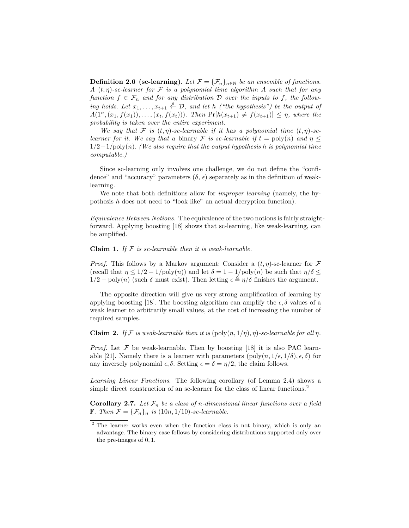**Definition 2.6 (sc-learning).** Let  $\mathcal{F} = {\{\mathcal{F}_n\}}_{n \in \mathbb{N}}$  be an ensemble of functions. A  $(t, \eta)$ -sc-learner for F is a polynomial time algorithm A such that for any function  $f \in \mathcal{F}_n$  and for any distribution D over the inputs to f, the following holds. Let  $x_1, \ldots, x_{t+1} \stackrel{\$}{\leftarrow} \mathcal{D}$ , and let h ("the hypothesis") be the output of  $A(1^n,(x_1,f(x_1)), \ldots,(x_t,f(x_t)))$ . Then  $\Pr[h(x_{t+1}) \neq f(x_{t+1})] \leq \eta$ , where the probability is taken over the entire experiment.

We say that F is  $(t, \eta)$ -sc-learnable if it has a polynomial time  $(t, \eta)$ -sclearner for it. We say that a binary F is sc-learnable if  $t = \text{poly}(n)$  and  $\eta \leq$  $1/2-1$ /poly $(n)$ . (We also require that the output hypothesis h is polynomial time computable.)

Since sc-learning only involves one challenge, we do not define the "confidence" and "accuracy" parameters  $(\delta, \epsilon)$  separately as in the definition of weaklearning.

We note that both definitions allow for *improper learning* (namely, the hypothesis h does not need to "look like" an actual decryption function).

Equivalence Between Notions. The equivalence of the two notions is fairly straightforward. Applying boosting [18] shows that sc-learning, like weak-learning, can be amplified.

Claim 1. If  $F$  is sc-learnable then it is weak-learnable.

*Proof.* This follows by a Markov argument: Consider a  $(t, \eta)$ -sc-learner for F (recall that  $\eta \leq 1/2 - 1/\text{poly}(n)$ ) and let  $\delta = 1 - 1/\text{poly}(n)$  be such that  $\eta/\delta \leq$  $1/2 - \text{poly}(n)$  (such  $\delta$  must exist). Then letting  $\epsilon \triangleq \eta/\delta$  finishes the argument.

The opposite direction will give us very strong amplification of learning by applying boosting [18]. The boosting algorithm can amplify the  $\epsilon, \delta$  values of a weak learner to arbitrarily small values, at the cost of increasing the number of required samples.

**Claim 2.** If F is weak-learnable then it is  $(\text{poly}(n, 1/\eta), \eta)$ -sc-learnable for all  $\eta$ .

*Proof.* Let  $\mathcal F$  be weak-learnable. Then by boosting [18] it is also PAC learnable [21]. Namely there is a learner with parameters  $(\text{poly}(n, 1/\epsilon, 1/\delta), \epsilon, \delta)$  for any inversely polynomial  $\epsilon, \delta$ . Setting  $\epsilon = \delta = \eta/2$ , the claim follows.

Learning Linear Functions. The following corollary (of Lemma 2.4) shows a simple direct construction of an sc-learner for the class of linear functions.<sup>2</sup>

**Corollary 2.7.** Let  $\mathcal{F}_n$  be a class of *n*-dimensional linear functions over a field F. Then  $\mathcal{F} = {\{\mathcal{F}_n\}_n}$  is  $(10n, 1/10)$ -sc-learnable.

<sup>&</sup>lt;sup>2</sup> The learner works even when the function class is not binary, which is only an advantage. The binary case follows by considering distributions supported only over the pre-images of 0, 1.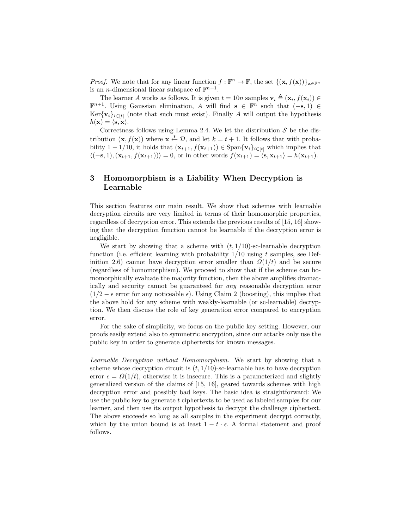*Proof.* We note that for any linear function  $f : \mathbb{F}^n \to \mathbb{F}$ , the set  $\{(\mathbf{x}, f(\mathbf{x}))\}_{\mathbf{x}\in\mathbb{F}^n}$ is an *n*-dimensional linear subspace of  $\mathbb{F}^{n+1}$ .

The learner A works as follows. It is given  $t = 10n$  samples  $\mathbf{v}_i \triangleq (\mathbf{x}_i, f(\mathbf{x}_i)) \in$  $\mathbb{F}^{n+1}$ . Using Gaussian elimination, A will find  $s \in \mathbb{F}^n$  such that  $(-s, 1) \in$ Ker $\{v_i\}_{i\in[t]}$  (note that such must exist). Finally A will output the hypothesis  $h(\mathbf{x}) = \langle \mathbf{s}, \mathbf{x} \rangle$ .

Correctness follows using Lemma 2.4. We let the distribution  $S$  be the distribution  $(\mathbf{x}, f(\mathbf{x}))$  where  $\mathbf{x} \stackrel{\$}{\leftarrow} \mathcal{D}$ , and let  $k = t + 1$ . It follows that with probability 1 − 1/10, it holds that  $(\mathbf{x}_{t+1}, f(\mathbf{x}_{t+1})) \in \text{Span}\{\mathbf{v}_i\}_{i \in [t]}$  which implies that  $\langle (-s, 1), (\mathbf{x}_{t+1}, f(\mathbf{x}_{t+1})) \rangle = 0$ , or in other words  $f(\mathbf{x}_{t+1}) = \langle \mathbf{s}, \mathbf{x}_{t+1} \rangle = h(\mathbf{x}_{t+1}).$ 

# 3 Homomorphism is a Liability When Decryption is Learnable

This section features our main result. We show that schemes with learnable decryption circuits are very limited in terms of their homomorphic properties, regardless of decryption error. This extends the previous results of [15, 16] showing that the decryption function cannot be learnable if the decryption error is negligible.

We start by showing that a scheme with  $(t, 1/10)$ -sc-learnable decryption function (i.e. efficient learning with probability  $1/10$  using t samples, see Definition 2.6) cannot have decryption error smaller than  $\Omega(1/t)$  and be secure (regardless of homomorphism). We proceed to show that if the scheme can homomorphically evaluate the majority function, then the above amplifies dramatically and security cannot be guaranteed for any reasonable decryption error  $(1/2 - \epsilon$  error for any noticeable  $\epsilon$ ). Using Claim 2 (boosting), this implies that the above hold for any scheme with weakly-learnable (or sc-learnable) decryption. We then discuss the role of key generation error compared to encryption error.

For the sake of simplicity, we focus on the public key setting. However, our proofs easily extend also to symmetric encryption, since our attacks only use the public key in order to generate ciphertexts for known messages.

Learnable Decryption without Homomorphism. We start by showing that a scheme whose decryption circuit is  $(t, 1/10)$ -sc-learnable has to have decryption error  $\epsilon = \Omega(1/t)$ , otherwise it is insecure. This is a parameterized and slightly generalized version of the claims of [15, 16], geared towards schemes with high decryption error and possibly bad keys. The basic idea is straightforward: We use the public key to generate t ciphertexts to be used as labeled samples for our learner, and then use its output hypothesis to decrypt the challenge ciphertext. The above succeeds so long as all samples in the experiment decrypt correctly, which by the union bound is at least  $1 - t \cdot \epsilon$ . A formal statement and proof follows.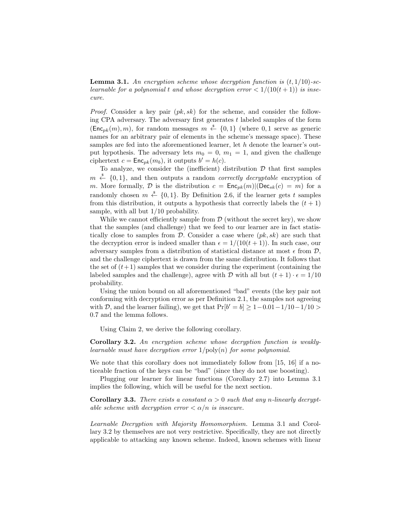**Lemma 3.1.** An encryption scheme whose decryption function is  $(t, 1/10)$ -sclearnable for a polynomial t and whose decryption error  $\lt 1/(10(t+1))$  is insecure.

*Proof.* Consider a key pair  $(pk, sk)$  for the scheme, and consider the following CPA adversary. The adversary first generates  $t$  labeled samples of the form  $(\textsf{Enc}_{pk}(m), m)$ , for random messages  $m \stackrel{\hspace{0.1em}\mathsf{\scriptscriptstyle\$}}{\leftarrow} \{0,1\}$  (where 0,1 serve as generic names for an arbitrary pair of elements in the scheme's message space). These samples are fed into the aforementioned learner, let h denote the learner's output hypothesis. The adversary lets  $m_0 = 0$ ,  $m_1 = 1$ , and given the challenge ciphertext  $c = \mathsf{Enc}_{pk}(m_b)$ , it outputs  $b' = h(c)$ .

To analyze, we consider the (inefficient) distribution  $D$  that first samples  $m \stackrel{\hspace{1pt}\mathsf{\scriptscriptstyle\$}}{\leftarrow} \{0,1\}$ , and then outputs a random *correctly decryptable* encryption of m. More formally, D is the distribution  $c = \text{Enc}_{pk}(m) | (\text{Dec}_{sk}(c) = m)$  for a randomly chosen  $m \stackrel{s}{\leftarrow} \{0,1\}$ . By Definition 2.6, if the learner gets t samples from this distribution, it outputs a hypothesis that correctly labels the  $(t + 1)$ sample, with all but 1/10 probability.

While we cannot efficiently sample from  $D$  (without the secret key), we show that the samples (and challenge) that we feed to our learner are in fact statistically close to samples from  $\mathcal{D}$ . Consider a case where  $(pk, sk)$  are such that the decryption error is indeed smaller than  $\epsilon = 1/(10(t+1))$ . In such case, our adversary samples from a distribution of statistical distance at most  $\epsilon$  from  $\mathcal{D}$ , and the challenge ciphertext is drawn from the same distribution. It follows that the set of  $(t+1)$  samples that we consider during the experiment (containing the labeled samples and the challenge), agree with  $\mathcal D$  with all but  $(t+1) \cdot \epsilon = 1/10$ probability.

Using the union bound on all aforementioned "bad" events (the key pair not conforming with decryption error as per Definition 2.1, the samples not agreeing with D, and the learner failing), we get that  $Pr[b' = b] \ge 1 - 0.01 - 1/10 - 1/10 >$ 0.7 and the lemma follows.

Using Claim 2, we derive the following corollary.

Corollary 3.2. An encryption scheme whose decryption function is weaklylearnable must have decryption error  $1/\text{poly}(n)$  for some polynomial.

We note that this corollary does not immediately follow from [15, 16] if a noticeable fraction of the keys can be "bad" (since they do not use boosting).

Plugging our learner for linear functions (Corollary 2.7) into Lemma 3.1 implies the following, which will be useful for the next section.

**Corollary 3.3.** There exists a constant  $\alpha > 0$  such that any n-linearly decryptable scheme with decryption error  $\langle \alpha/n \rangle$  is insecure.

Learnable Decryption with Majority Homomorphism. Lemma 3.1 and Corollary 3.2 by themselves are not very restrictive. Specifically, they are not directly applicable to attacking any known scheme. Indeed, known schemes with linear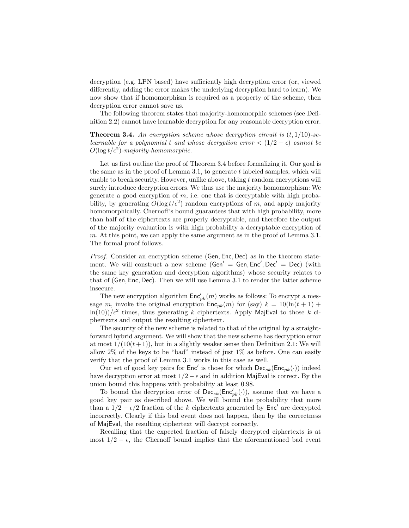decryption (e.g. LPN based) have sufficiently high decryption error (or, viewed differently, adding the error makes the underlying decryption hard to learn). We now show that if homomorphism is required as a property of the scheme, then decryption error cannot save us.

The following theorem states that majority-homomorphic schemes (see Definition 2.2) cannot have learnable decryption for any reasonable decryption error.

**Theorem 3.4.** An encryption scheme whose decryption circuit is  $(t, 1/10)$ -sclearnable for a polynomial t and whose decryption error  $\lt (1/2 - \epsilon)$  cannot be  $O(\log t/\epsilon^2)$ -majority-homomorphic.

Let us first outline the proof of Theorem 3.4 before formalizing it. Our goal is the same as in the proof of Lemma 3.1, to generate  $t$  labeled samples, which will enable to break security. However, unlike above, taking  $t$  random encryptions will surely introduce decryption errors. We thus use the majority homomorphism: We generate a good encryption of  $m$ , i.e. one that is decryptable with high probability, by generating  $O(\log t/\epsilon^2)$  random encryptions of m, and apply majority homomorphically. Chernoff's bound guarantees that with high probability, more than half of the ciphertexts are properly decryptable, and therefore the output of the majority evaluation is with high probability a decryptable encryption of m. At this point, we can apply the same argument as in the proof of Lemma 3.1. The formal proof follows.

Proof. Consider an encryption scheme (Gen, Enc, Dec) as in the theorem statement. We will construct a new scheme  $(Gen' = Gen, Enc', Dec' = Dec)$  (with the same key generation and decryption algorithms) whose security relates to that of (Gen, Enc, Dec). Then we will use Lemma 3.1 to render the latter scheme insecure.

The new encryption algorithm  $\mathsf{Enc}'_{pk}(m)$  works as follows: To encrypt a message m, invoke the original encryption  $\mathsf{Enc}_{pk}(m)$  for (say)  $k = 10(\ln(t + 1) +$  $\ln(10)/\epsilon^2$  times, thus generating k ciphertexts. Apply MajEval to those k ciphertexts and output the resulting ciphertext.

The security of the new scheme is related to that of the original by a straightforward hybrid argument. We will show that the new scheme has decryption error at most  $1/(10(t+1))$ , but in a slightly weaker sense then Definition 2.1: We will allow 2% of the keys to be "bad" instead of just 1% as before. One can easily verify that the proof of Lemma 3.1 works in this case as well.

Our set of good key pairs for  $Enc'$  is those for which  $Dec_{sk}(Enc_{pk}(\cdot))$  indeed have decryption error at most  $1/2 - \epsilon$  and in addition MajEval is correct. By the union bound this happens with probability at least 0.98.

To bound the decryption error of  $\mathsf{Dec}_{sk}(\mathsf{Enc}'_{pk}(\cdot))$ , assume that we have a good key pair as described above. We will bound the probability that more than a  $1/2 - \epsilon/2$  fraction of the k ciphertexts generated by Enc' are decrypted incorrectly. Clearly if this bad event does not happen, then by the correctness of MajEval, the resulting ciphertext will decrypt correctly.

Recalling that the expected fraction of falsely decrypted ciphertexts is at most  $1/2 - \epsilon$ , the Chernoff bound implies that the aforementioned bad event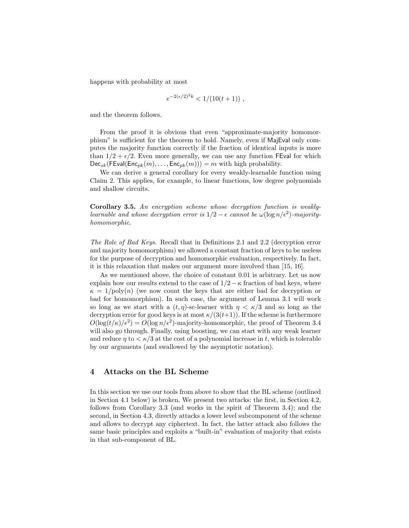happens with probability at most

$$
e^{-2(\epsilon/2)^2 k} < 1/(10(t+1)) \;,
$$

and the theorem follows.

From the proof it is obvious that even "approximate-majority homomorphism" is sufficient for the theorem to hold. Namely, even if MajEval only computes the majority function correctly if the fraction of identical inputs is more than  $1/2 + \epsilon/2$ . Even more generally, we can use any function FEval for which  $\mathsf{Dec}_{sk}(\mathsf{FEval}(\mathsf{Enc}_{pk}(m), \ldots, \mathsf{Enc}_{pk}(m))) = m$  with high probability.

We can derive a general corollary for every weakly-learnable function using Claim 2. This applies, for example, to linear functions, low degree polynomials and shallow circuits.

Corollary 3.5. An encryption scheme whose decryption function is weaklylearnable and whose decryption error is  $1/2 - \epsilon$  cannot be  $\omega(\log n/\epsilon^2)$ -majorityhomomorphic.

The Role of Bad Keys. Recall that in Definitions 2.1 and 2.2 (decryption error and majority homomorphism) we allowed a constant fraction of keys to be useless for the purpose of decryption and homomorphic evaluation, respectively. In fact, it is this relaxation that makes our argument more involved than [15, 16].

As we mentioned above, the choice of constant 0.01 is arbitrary. Let us now explain how our results extend to the case of  $1/2 - \kappa$  fraction of bad keys, where  $\kappa = 1/\text{poly}(n)$  (we now count the keys that are either bad for decryption or bad for homomorphism). In such case, the argument of Lemma 3.1 will work so long as we start with a  $(t, \eta)$ -sc-learner with  $\eta < \kappa/3$  and so long as the decryption error for good keys is at most  $\kappa/(3(t+1))$ . If the scheme is furthermore  $O(\log(t/\kappa)/\epsilon^2) = O(\log n/\epsilon^2)$ -majority-homomorphic, the proof of Theorem 3.4 will also go through. Finally, using boosting, we can start with any weak learner and reduce  $\eta$  to  $\lt \kappa/3$  at the cost of a polynomial increase in t, which is tolerable by our arguments (and swallowed by the asymptotic notation).

# 4 Attacks on the BL Scheme

In this section we use our tools from above to show that the BL scheme (outlined in Section 4.1 below) is broken. We present two attacks: the first, in Section 4.2, follows from Corollary 3.3 (and works in the spirit of Theorem 3.4); and the second, in Section 4.3, directly attacks a lower level subcomponent of the scheme and allows to decrypt any ciphertext. In fact, the latter attack also follows the same basic principles and exploits a "built-in" evaluation of majority that exists in that sub-component of BL.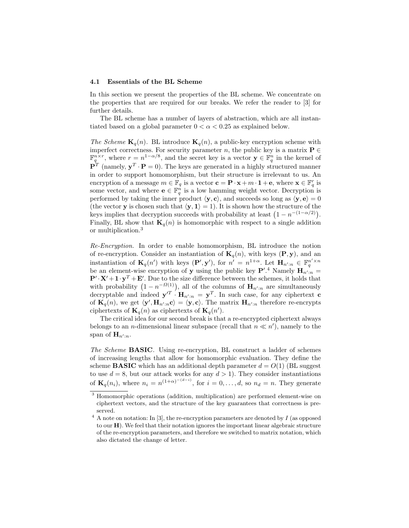### 4.1 Essentials of the BL Scheme

In this section we present the properties of the BL scheme. We concentrate on the properties that are required for our breaks. We refer the reader to [3] for further details.

The BL scheme has a number of layers of abstraction, which are all instantiated based on a global parameter  $0 < \alpha < 0.25$  as explained below.

The Scheme  $\mathbf{K}_q(n)$ . BL introduce  $\mathbf{K}_q(n)$ , a public-key encryption scheme with imperfect correctness. For security parameter n, the public key is a matrix  $P \in$  $\mathbb{F}_q^{n \times r}$ , where  $r = n^{1-\alpha/8}$ , and the secret key is a vector  $\mathbf{y} \in \mathbb{F}_q^n$  in the kernel of  ${\bf P}^T$  (namely,  ${\bf y}^T \cdot {\bf P} = 0$ ). The keys are generated in a highly structured manner in order to support homomorphism, but their structure is irrelevant to us. An encryption of a message  $m \in \mathbb{F}_q$  is a vector  $\mathbf{c} = \mathbf{P} \cdot \mathbf{x} + m \cdot \mathbf{1} + \mathbf{e}$ , where  $\mathbf{x} \in \mathbb{F}_q^r$  is some vector, and where  $\mathbf{e} \in \mathbb{F}_q^n$  is a low hamming weight vector. Decryption is performed by taking the inner product  $\langle y, c \rangle$ , and succeeds so long as  $\langle y, e \rangle = 0$ (the vector **y** is chosen such that  $\langle y, 1 \rangle = 1$ ). It is shown how the structure of the keys implies that decryption succeeds with probability at least  $(1 - n^{-(1 - \alpha/2)})$ . Finally, BL show that  $\mathbf{K}_q(n)$  is homomorphic with respect to a single addition or multiplication.<sup>3</sup>

Re-Encryption. In order to enable homomorphism, BL introduce the notion of re-encryption. Consider an instantiation of  $\mathbf{K}_q(n)$ , with keys  $(\mathbf{P}, \mathbf{y})$ , and an instantiation of  $\mathbf{K}_q(n')$  with keys  $(\mathbf{P}', \mathbf{y}')$ , for  $n' = n^{1+\alpha}$ . Let  $\mathbf{H}_{n':n} \in \mathbb{F}_q^{n' \times n}$ be an element-wise encryption of **y** using the public key  $P'^{A}$ . Namely  $H_{n',n} =$  ${\bf P}' \cdot {\bf X}' + 1 \cdot {\bf y}^T + {\bf E}'$ . Due to the size difference between the schemes, it holds that with probability  $(1 - n^{-\Omega(1)})$ , all of the columns of  $\mathbf{H}_{n':n}$  are simultaneously decryptable and indeed  $\mathbf{y}^{T} \cdot \mathbf{H}_{n':n} = \mathbf{y}^{T}$ . In such case, for any ciphertext **c** of  ${\bf K}_q(n)$ , we get  $\langle {\bf y}', {\bf H}_{n':n} {\bf c} \rangle = \langle {\bf y}, {\bf c} \rangle$ . The matrix  ${\bf H}_{n':n}$  therefore re-encrypts ciphertexts of  $\mathbf{K}_q(n)$  as ciphertexts of  $\mathbf{K}_q(n')$ .

The critical idea for our second break is that a re-encrypted ciphertext always belongs to an *n*-dimensional linear subspace (recall that  $n \ll n'$ ), namely to the span of  $\mathbf{H}_{n':n}$ .

The Scheme BASIC. Using re-encryption, BL construct a ladder of schemes of increasing lengths that allow for homomorphic evaluation. They define the scheme **BASIC** which has an additional depth parameter  $d = O(1)$  (BL suggest to use  $d = 8$ , but our attack works for any  $d > 1$ ). They consider instantiations of  $\mathbf{K}_q(n_i)$ , where  $n_i = n^{(1+\alpha)^{-(d-i)}}$ , for  $i = 0, \ldots, d$ , so  $n_d = n$ . They generate

<sup>3</sup> Homomorphic operations (addition, multiplication) are performed element-wise on ciphertext vectors, and the structure of the key guarantees that correctness is preserved.

 $4\,$  A note on notation: In [3], the re-encryption parameters are denoted by  $I$  (as opposed to our  $H$ ). We feel that their notation ignores the important linear algebraic structure of the re-encryption parameters, and therefore we switched to matrix notation, which also dictated the change of letter.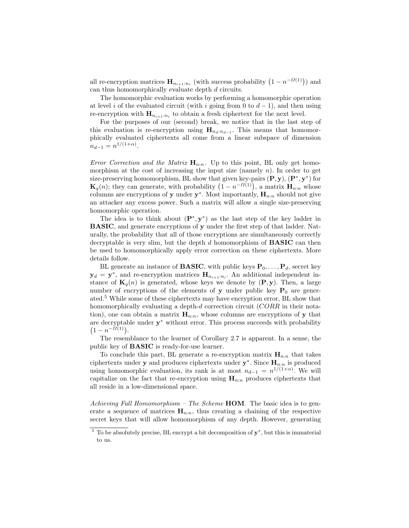all re-encryption matrices  $\mathbf{H}_{n_{i+1}:n_i}$  (with success probability  $(1 - n^{-\Omega(1)})$ ) and can thus homomorphically evaluate depth d circuits.

The homomorphic evaluation works by performing a homomorphic operation at level i of the evaluated circuit (with i going from 0 to  $d-1$ ), and then using re-encryption with  $\mathbf{H}_{n_{i+1}:n_i}$  to obtain a fresh ciphertext for the next level.

For the purposes of our (second) break, we notice that in the last step of this evaluation is re-encryption using  $H_{n_d:n_{d-1}}$ . This means that homomorphically evaluated ciphertexts all come from a linear subspace of dimension  $n_{d-1} = n^{1/(1+\alpha)}$ .

Error Correction and the Matrix  $\mathbf{H}_{n:n}$ . Up to this point, BL only get homomorphism at the cost of increasing the input size (namely  $n$ ). In order to get size-preserving homomorphism, BL show that given key-pairs  $(P, y)$ ,  $(P^*, y^*)$  for  $\mathbf{K}_q(n)$ ; they can generate, with probability  $(1 - n^{-\Omega(1)})$ , a matrix  $\mathbf{H}_{n:n}$  whose columns are encryptions of **y** under  $y^*$ . Most importantly,  $H_{n:n}$  should not give an attacker any excess power. Such a matrix will allow a single size-preserving homomorphic operation.

The idea is to think about  $(P^*, y^*)$  as the last step of the key ladder in BASIC, and generate encryptions of y under the first step of that ladder. Naturally, the probability that all of those encryptions are simultaneously correctly decryptable is very slim, but the depth  $d$  homomorphism of **BASIC** can then be used to homomorphically apply error correction on these ciphertexts. More details follow.

BL generate an instance of **BASIC**, with public keys  $P_0, \ldots, P_d$ , secret key  $y_d = y^*$ , and re-encryption matrices  $H_{n_{i+1}:n_i}$ . An additional independent instance of  $\mathbf{K}_q(n)$  is generated, whose keys we denote by  $(\mathbf{P}, \mathbf{y})$ . Then, a large number of encryptions of the elements of y under public key  $P_0$  are generated.<sup>5</sup> While some of these ciphertexts may have encryption error, BL show that homomorphically evaluating a depth-d correction circuit (CORR in their notation), one can obtain a matrix  $H_{n:n}$ , whose columns are encryptions of y that are decryptable under  $y^*$  without error. This process succeeds with probability  $(1 - n^{-\Omega(1)})$ .

The resemblance to the learner of Corollary 2.7 is apparent. In a sense, the public key of BASIC is ready-for-use learner.

To conclude this part, BL generate a re-encryption matrix  $\mathbf{H}_{n:n}$  that takes ciphertexts under **y** and produces ciphertexts under  $y^*$ . Since  $H_{n:n}$  is produced using homomorphic evaluation, its rank is at most  $n_{d-1} = n^{1/(1+\alpha)}$ . We will capitalize on the fact that re-encryption using  $H_{n:n}$  produces ciphertexts that all reside in a low-dimensional space.

Achieving Full Homomorphism - The Scheme HOM. The basic idea is to generate a sequence of matrices  $H_{n:n}$ , thus creating a chaining of the respective secret keys that will allow homomorphism of any depth. However, generating

 $5$  To be absolutely precise, BL encrypt a bit decomposition of  $y^*$ , but this is immaterial to us.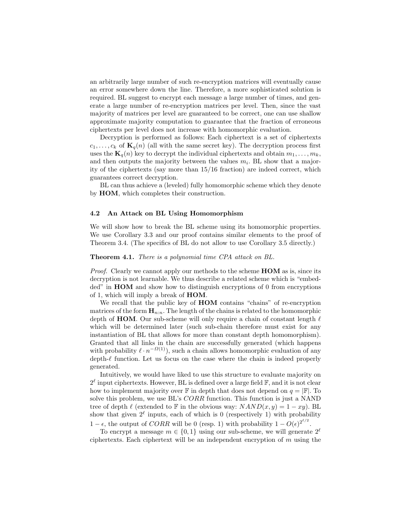an arbitrarily large number of such re-encryption matrices will eventually cause an error somewhere down the line. Therefore, a more sophisticated solution is required. BL suggest to encrypt each message a large number of times, and generate a large number of re-encryption matrices per level. Then, since the vast majority of matrices per level are guaranteed to be correct, one can use shallow approximate majority computation to guarantee that the fraction of erroneous ciphertexts per level does not increase with homomorphic evaluation.

Decryption is performed as follows: Each ciphertext is a set of ciphertexts  $c_1, \ldots, c_k$  of  $\mathbf{K}_q(n)$  (all with the same secret key). The decryption process first uses the  $\mathbf{K}_q(n)$  key to decrypt the individual ciphertexts and obtain  $m_1, \ldots, m_k$ , and then outputs the majority between the values  $m_i$ . BL show that a majority of the ciphertexts (say more than 15/16 fraction) are indeed correct, which guarantees correct decryption.

BL can thus achieve a (leveled) fully homomorphic scheme which they denote by HOM, which completes their construction.

## 4.2 An Attack on BL Using Homomorphism

We will show how to break the BL scheme using its homomorphic properties. We use Corollary 3.3 and our proof contains similar elements to the proof of Theorem 3.4. (The specifics of BL do not allow to use Corollary 3.5 directly.)

## Theorem 4.1. There is a polynomial time CPA attack on BL.

*Proof.* Clearly we cannot apply our methods to the scheme **HOM** as is, since its decryption is not learnable. We thus describe a related scheme which is "embedded" in HOM and show how to distinguish encryptions of 0 from encryptions of 1, which will imply a break of HOM.

We recall that the public key of HOM contains "chains" of re-encryption matrices of the form  $\mathbf{H}_{n:n}$ . The length of the chains is related to the homomorphic depth of HOM. Our sub-scheme will only require a chain of constant length  $\ell$ which will be determined later (such sub-chain therefore must exist for any instantiation of BL that allows for more than constant depth homomorphism). Granted that all links in the chain are successfully generated (which happens with probability  $\ell \cdot n^{-\Omega(1)}$ , such a chain allows homomorphic evaluation of any  $depth-\ell$  function. Let us focus on the case where the chain is indeed properly generated.

Intuitively, we would have liked to use this structure to evaluate majority on  $2^{\ell}$  input ciphertexts. However, BL is defined over a large field  $\mathbb{F}$ , and it is not clear how to implement majority over F in depth that does not depend on  $q = |F|$ . To solve this problem, we use BL's CORR function. This function is just a NAND tree of depth  $\ell$  (extended to F in the obvious way:  $NAND(x, y) = 1 - xy$ ). BL show that given  $2^{\ell}$  inputs, each of which is 0 (respectively 1) with probability  $1 - \epsilon$ , the output of CORR will be 0 (resp. 1) with probability  $1 - O(\epsilon)^{2^{\ell/2}}$ .

To encrypt a message  $m \in \{0, 1\}$  using our sub-scheme, we will generate  $2^{\ell}$ ciphertexts. Each ciphertext will be an independent encryption of  $m$  using the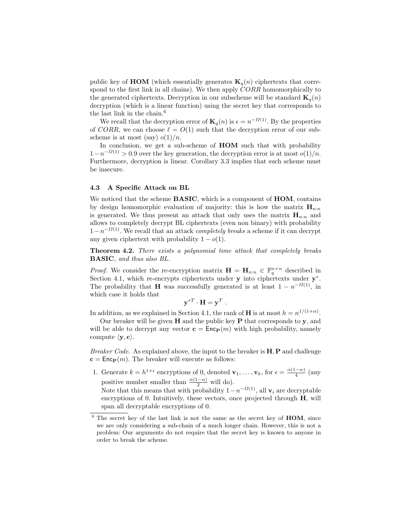public key of HOM (which essentially generates  $\mathbf{K}_q(n)$  ciphertexts that correspond to the first link in all chains). We then apply CORR homomorphically to the generated ciphertexts. Decryption in our subscheme will be standard  $\mathbf{K}_q(n)$ decryption (which is a linear function) using the secret key that corresponds to the last link in the chain. $6$ 

We recall that the decryption error of  $\mathbf{K}_q(n)$  is  $\epsilon = n^{-\Omega(1)}$ . By the properties of CORR, we can choose  $\ell = O(1)$  such that the decryption error of our subscheme is at most (say)  $o(1)/n$ .

In conclusion, we get a sub-scheme of **HOM** such that with probability  $1-n^{-\Omega(1)} > 0.9$  over the key generation, the decryption error is at most  $o(1)/n$ . Furthermore, decryption is linear. Corollary 3.3 implies that such scheme must be insecure.

### 4.3 A Specific Attack on BL

We noticed that the scheme **BASIC**, which is a component of **HOM**, contains by design homomorphic evaluation of majority: this is how the matrix  $\mathbf{H}_{n:n}$ is generated. We thus present an attack that only uses the matrix  $\mathbf{H}_{n:n}$  and allows to completely decrypt BL ciphertexts (even non binary) with probability  $1-n^{-\Omega(1)}$ . We recall that an attack *completely breaks* a scheme if it can decrypt any given ciphertext with probability  $1 - o(1)$ .

Theorem 4.2. There exists a polynomial time attack that completely breaks BASIC, and thus also BL.

*Proof.* We consider the re-encryption matrix  $\mathbf{H} = \mathbf{H}_{n:n} \in \mathbb{F}_q^{n \times n}$  described in Section 4.1, which re-encrypts ciphertexts under  $y$  into ciphertexts under  $y^*$ . The probability that **H** was successfully generated is at least  $1 - n^{-\Omega(1)}$ , in which case it holds that

$$
\mathbf{y}^{*T} \cdot \mathbf{H} = \mathbf{y}^T
$$

.

In addition, as we explained in Section 4.1, the rank of **H** is at most  $h = n^{1/(1+\alpha)}$ .

Our breaker will be given  $H$  and the public key  $P$  that corresponds to  $y$ , and will be able to decrypt any vector  $\mathbf{c} = \text{Enc}_{\mathbf{P}}(m)$  with high probability, namely compute  $\langle y, c \rangle$ .

*Breaker Code.* As explained above, the input to the breaker is  $H, P$  and challenge  $c = Enc<sub>P</sub>(m)$ . The breaker will execute as follows:

1. Generate  $k = h^{1+\epsilon}$  encryptions of 0, denoted  $\mathbf{v}_1, \ldots, \mathbf{v}_k$ , for  $\epsilon = \frac{\alpha(1-\alpha)}{4}$  $rac{(-\alpha)}{4}$  (any positive number smaller than  $\frac{\alpha(1-\alpha)}{2}$  will do).

Note that this means that with probability  $1-n^{-\Omega(1)}$ , all  $\mathbf{v}_i$  are decryptable encryptions of 0. Intuitively, these vectors, once projected through  $H$ , will span all decryptable encryptions of 0.

 $6$  The secret key of the last link is not the same as the secret key of  $HOM$ , since we are only considering a sub-chain of a much longer chain. However, this is not a problem: Our arguments do not require that the secret key is known to anyone in order to break the scheme.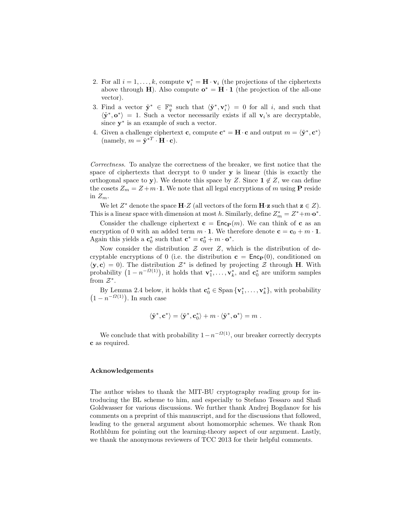- 2. For all  $i = 1, ..., k$ , compute  $\mathbf{v}_i^* = \mathbf{H} \cdot \mathbf{v}_i$  (the projections of the ciphertexts above through H). Also compute  $o^* = H \cdot 1$  (the projection of the all-one vector).
- 3. Find a vector  $\tilde{\mathbf{y}}^* \in \mathbb{F}_q^n$  such that  $\langle \tilde{\mathbf{y}}^*, \mathbf{v}_i^* \rangle = 0$  for all i, and such that  $\langle \tilde{\mathbf{y}}^*, \mathbf{o}^* \rangle = 1$ . Such a vector necessarily exists if all  $\mathbf{v}_i$ 's are decryptable, since  $y^*$  is an example of such a vector.
- 4. Given a challenge ciphertext **c**, compute  $\mathbf{c}^* = \mathbf{H} \cdot \mathbf{c}$  and output  $m = \langle \tilde{\mathbf{y}}^*, \mathbf{c}^* \rangle$ (namely,  $m = \tilde{\mathbf{y}}^{*T} \cdot \mathbf{H} \cdot \mathbf{c}$ ).

Correctness. To analyze the correctness of the breaker, we first notice that the space of ciphertexts that decrypt to 0 under y is linear (this is exactly the orthogonal space to y). We denote this space by Z. Since  $1 \notin Z$ , we can define the cosets  $Z_m = Z + m \cdot 1$ . We note that all legal encryptions of m using **P** reside in  $Z_m$ .

We let  $Z^*$  denote the space  $\mathbf{H} \cdot Z$  (all vectors of the form  $\mathbf{H} \cdot \mathbf{z}$  such that  $\mathbf{z} \in Z$ ). This is a linear space with dimension at most h. Similarly, define  $Z_m^* = Z^* + m \cdot \mathbf{o}^*$ .

Consider the challenge ciphertext  $c = \text{Enc}_{\textbf{P}}(m)$ . We can think of c as an encryption of 0 with an added term  $m \cdot 1$ . We therefore denote  $c = c_0 + m \cdot 1$ . Again this yields a  $\mathbf{c}_0^*$  such that  $\mathbf{c}^* = \mathbf{c}_0^* + m \cdot \mathbf{o}^*$ .

Now consider the distribution  $Z$  over  $Z$ , which is the distribution of decryptable encryptions of 0 (i.e. the distribution  $c = \text{Enc}_{\mathbf{P}}(0)$ , conditioned on  $\langle y, c \rangle = 0$ ). The distribution  $\mathcal{Z}^*$  is defined by projecting  $\mathcal{Z}$  through H. With probability  $(1 - n^{-\Omega(1)})$ , it holds that  $\mathbf{v}_1^*, \ldots, \mathbf{v}_k^*$ , and  $\mathbf{c}_0^*$  are uniform samples from  $\mathcal{Z}^*$ .

By Lemma 2.4 below, it holds that  $\mathbf{c}_0^* \in \text{Span}\{\mathbf{v}_1^*, \ldots, \mathbf{v}_k^*\}$ , with probability  $(1-n^{-\Omega(1)})$ . In such case

$$
\langle \tilde{\mathbf{y}}^*,\mathbf{c}^*\rangle = \langle \tilde{\mathbf{y}}^*,\mathbf{c}^*_0\rangle + m\cdot \langle \tilde{\mathbf{y}}^*,\mathbf{o}^*\rangle = m\ .
$$

We conclude that with probability  $1-n^{-\Omega(1)}$ , our breaker correctly decrypts c as required.

#### Acknowledgements

The author wishes to thank the MIT-BU cryptography reading group for introducing the BL scheme to him, and especially to Stefano Tessaro and Shafi Goldwasser for various discussions. We further thank Andrej Bogdanov for his comments on a preprint of this manuscript, and for the discussions that followed, leading to the general argument about homomorphic schemes. We thank Ron Rothblum for pointing out the learning-theory aspect of our argument. Lastly, we thank the anonymous reviewers of TCC 2013 for their helpful comments.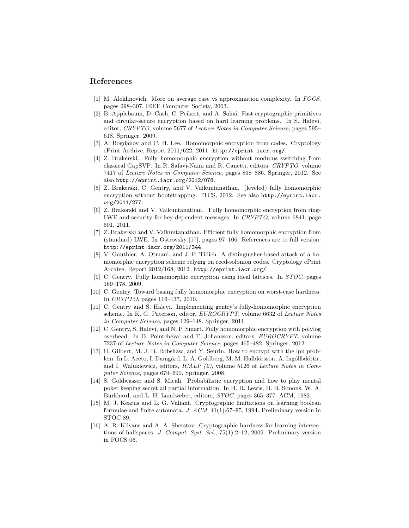# References

- [1] M. Alekhnovich. More on average case vs approximation complexity. In FOCS, pages 298–307. IEEE Computer Society, 2003.
- [2] B. Applebaum, D. Cash, C. Peikert, and A. Sahai. Fast cryptographic primitives and circular-secure encryption based on hard learning problems. In S. Halevi, editor, CRYPTO, volume 5677 of Lecture Notes in Computer Science, pages 595– 618. Springer, 2009.
- [3] A. Bogdanov and C. H. Lee. Homomorphic encryption from codes. Cryptology ePrint Archive, Report 2011/622, 2011. http://eprint.iacr.org/.
- [4] Z. Brakerski. Fully homomorphic encryption without modulus switching from classical GapSVP. In R. Safavi-Naini and R. Canetti, editors, CRYPTO, volume 7417 of Lecture Notes in Computer Science, pages 868–886. Springer, 2012. See also http://eprint.iacr.org/2012/078.
- [5] Z. Brakerski, C. Gentry, and V. Vaikuntanathan. (leveled) fully homomorphic encryption without bootstrapping. ITCS, 2012. See also http://eprint.iacr. org/2011/277.
- [6] Z. Brakerski and V. Vaikuntanathan. Fully homomorphic encryption from ring-LWE and security for key dependent messages. In CRYPTO, volume 6841, page 501, 2011.
- [7] Z. Brakerski and V. Vaikuntanathan. Efficient fully homomorphic encryption from (standard) LWE. In Ostrovsky [17], pages 97–106. References are to full version: http://eprint.iacr.org/2011/344.
- [8] V. Gauthier, A. Otmani, and J.-P. Tillich. A distinguisher-based attack of a homomorphic encryption scheme relying on reed-solomon codes. Cryptology ePrint Archive, Report 2012/168, 2012. http://eprint.iacr.org/.
- [9] C. Gentry. Fully homomorphic encryption using ideal lattices. In STOC, pages 169–178, 2009.
- [10] C. Gentry. Toward basing fully homomorphic encryption on worst-case hardness. In CRYPTO, pages 116–137, 2010.
- [11] C. Gentry and S. Halevi. Implementing gentry's fully-homomorphic encryption scheme. In K. G. Paterson, editor, EUROCRYPT, volume 6632 of Lecture Notes in Computer Science, pages 129–148. Springer, 2011.
- [12] C. Gentry, S. Halevi, and N. P. Smart. Fully homomorphic encryption with polylog overhead. In D. Pointcheval and T. Johansson, editors, EUROCRYPT, volume 7237 of Lecture Notes in Computer Science, pages 465–482. Springer, 2012.
- [13] H. Gilbert, M. J. B. Robshaw, and Y. Seurin. How to encrypt with the lpn problem. In L. Aceto, I. Damgård, L. A. Goldberg, M. M. Halldórsson, A. Ingólfsdóttir, and I. Walukiewicz, editors,  $ICALP$  (2), volume 5126 of Lecture Notes in Computer Science, pages 679–690. Springer, 2008.
- [14] S. Goldwasser and S. Micali. Probabilistic encryption and how to play mental poker keeping secret all partial information. In H. R. Lewis, B. B. Simons, W. A. Burkhard, and L. H. Landweber, editors, STOC, pages 365–377. ACM, 1982.
- [15] M. J. Kearns and L. G. Valiant. Cryptographic limitations on learning boolean formulae and finite automata. J. ACM, 41(1):67–95, 1994. Preliminary version in STOC 89.
- [16] A. R. Klivans and A. A. Sherstov. Cryptographic hardness for learning intersections of halfspaces. J. Comput. Syst. Sci.,  $75(1):2-12$ , 2009. Preliminary version in FOCS 06.